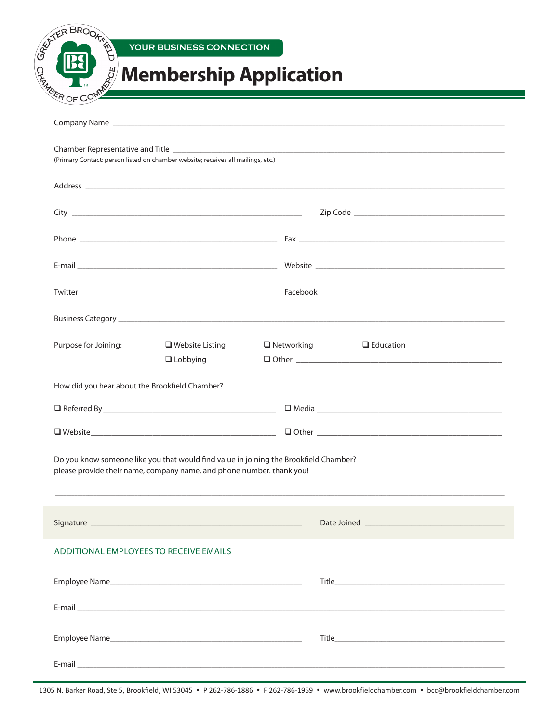| <b>BERTHER BROOK</b><br>YOUR BUSINESS CONNECTION                                                                                                                                                                 |                                                                                                                                                                                                                                      |
|------------------------------------------------------------------------------------------------------------------------------------------------------------------------------------------------------------------|--------------------------------------------------------------------------------------------------------------------------------------------------------------------------------------------------------------------------------------|
| <b>CE ALICE COMPANY</b><br><b>Membership Application</b>                                                                                                                                                         |                                                                                                                                                                                                                                      |
|                                                                                                                                                                                                                  | <u> 1980 - Jan Samuel II, marka a shekara ta 1980 haɗan ta 1980 haɗa ta 1980 haɗa ta 1980 haɗa ta 1980 haɗa ta 19</u>                                                                                                                |
|                                                                                                                                                                                                                  |                                                                                                                                                                                                                                      |
| (Primary Contact: person listed on chamber website; receives all mailings, etc.)                                                                                                                                 |                                                                                                                                                                                                                                      |
|                                                                                                                                                                                                                  |                                                                                                                                                                                                                                      |
|                                                                                                                                                                                                                  |                                                                                                                                                                                                                                      |
|                                                                                                                                                                                                                  |                                                                                                                                                                                                                                      |
|                                                                                                                                                                                                                  |                                                                                                                                                                                                                                      |
|                                                                                                                                                                                                                  |                                                                                                                                                                                                                                      |
|                                                                                                                                                                                                                  |                                                                                                                                                                                                                                      |
|                                                                                                                                                                                                                  |                                                                                                                                                                                                                                      |
| Purpose for Joining:<br>$\Box$ Website Listing<br>$\Box$ Lobbying                                                                                                                                                | $\Box$ Networking<br>$\Box$ Education                                                                                                                                                                                                |
|                                                                                                                                                                                                                  |                                                                                                                                                                                                                                      |
|                                                                                                                                                                                                                  |                                                                                                                                                                                                                                      |
|                                                                                                                                                                                                                  |                                                                                                                                                                                                                                      |
|                                                                                                                                                                                                                  |                                                                                                                                                                                                                                      |
| How did you hear about the Brookfield Chamber?<br>Do you know someone like you that would find value in joining the Brookfield Chamber?<br>please provide their name, company name, and phone number. thank you! |                                                                                                                                                                                                                                      |
|                                                                                                                                                                                                                  |                                                                                                                                                                                                                                      |
|                                                                                                                                                                                                                  |                                                                                                                                                                                                                                      |
|                                                                                                                                                                                                                  | E-mail <b>contract of the contract of the contract of the contract of the contract of the contract of the contract of the contract of the contract of the contract of the contract of the contract of the contract of the contra</b> |
| ADDITIONAL EMPLOYEES TO RECEIVE EMAILS<br>Employee Name                                                                                                                                                          |                                                                                                                                                                                                                                      |